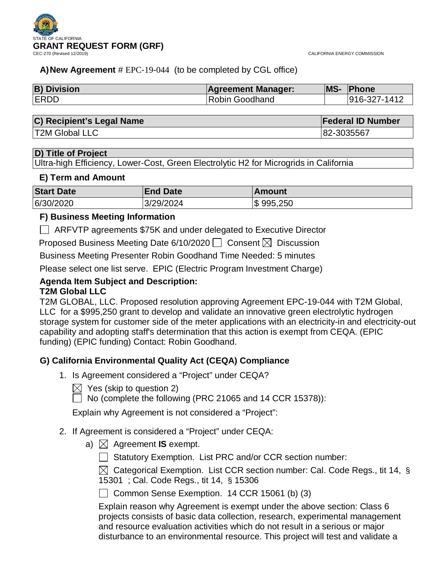

CALIFORNIA ENERGY COMMISSION

# **A)New Agreement** # EPC-19-044 (to be completed by CGL office)

| <b>B) Division</b> | <b>Agreement Manager:</b> | <b>MS-</b> | <b>Phone</b> |
|--------------------|---------------------------|------------|--------------|
| <b>ERDD</b>        | Robin Goodhand            |            | 916-327-1412 |

| <b>C) Recipient's Legal Name</b> | <b>Federal ID Number</b> |
|----------------------------------|--------------------------|
| <b>T2M Global LLC</b>            | 82-3035567               |

# **D) Title of Project**

Ultra-high Efficiency, Lower-Cost, Green Electrolytic H2 for Microgrids in California

### **E) Term and Amount**

| <b>Start Date</b> | <b>End Date</b> | ∣Amount   |
|-------------------|-----------------|-----------|
| 6/30/2020         | 3/29/2024       | \$995,250 |

# **F) Business Meeting Information**

ARFVTP agreements \$75K and under delegated to Executive Director

Proposed Business Meeting Date 6/10/2020  $\Box$  Consent  $\boxtimes$  Discussion

Business Meeting Presenter Robin Goodhand Time Needed: 5 minutes

Please select one list serve. EPIC (Electric Program Investment Charge)

### **Agenda Item Subject and Description: T2M Global LLC**

T2M GLOBAL, LLC. Proposed resolution approving Agreement EPC-19-044 with T2M Global, LLC for a \$995,250 grant to develop and validate an innovative green electrolytic hydrogen storage system for customer side of the meter applications with an electricity-in and electricity-out capability and adopting staff's determination that this action is exempt from CEQA. (EPIC funding) (EPIC funding) Contact: Robin Goodhand.

# **G) California Environmental Quality Act (CEQA) Compliance**

- 1. Is Agreement considered a "Project" under CEQA?
	- $\boxtimes$  Yes (skip to question 2)

 $\sqrt{ }$  No (complete the following (PRC 21065 and 14 CCR 15378)):

Explain why Agreement is not considered a "Project":

- 2. If Agreement is considered a "Project" under CEQA:
	- a)  $\boxtimes$  Agreement **IS** exempt.
		- □ Statutory Exemption. List PRC and/or CCR section number:

 $\boxtimes$  Categorical Exemption. List CCR section number: Cal. Code Regs., tit 14, § 15301 ; Cal. Code Regs., tit 14, § 15306

 $\Box$  Common Sense Exemption. 14 CCR 15061 (b) (3)

Explain reason why Agreement is exempt under the above section: Class 6 projects consists of basic data collection, research, experimental management and resource evaluation activities which do not result in a serious or major disturbance to an environmental resource. This project will test and validate a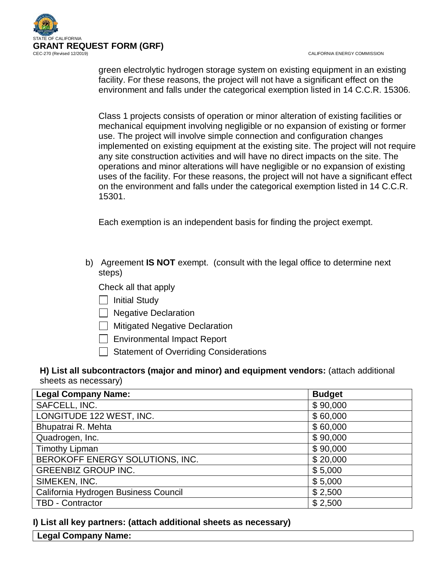

CALIFORNIA ENERGY COMMISSION

green electrolytic hydrogen storage system on existing equipment in an existing facility. For these reasons, the project will not have a significant effect on the environment and falls under the categorical exemption listed in 14 C.C.R. 15306.

Class 1 projects consists of operation or minor alteration of existing facilities or mechanical equipment involving negligible or no expansion of existing or former use. The project will involve simple connection and configuration changes implemented on existing equipment at the existing site. The project will not require any site construction activities and will have no direct impacts on the site. The operations and minor alterations will have negligible or no expansion of existing uses of the facility. For these reasons, the project will not have a significant effect on the environment and falls under the categorical exemption listed in 14 C.C.R. 15301.

Each exemption is an independent basis for finding the project exempt.

b) Agreement **IS NOT** exempt. (consult with the legal office to determine next steps)

Check all that apply

- $\Box$  Initial Study
- □ Negative Declaration
- $\Box$  Mitigated Negative Declaration
- | Environmental Impact Report
- Statement of Overriding Considerations

# **H) List all subcontractors (major and minor) and equipment vendors:** (attach additional sheets as necessary)

| <b>Legal Company Name:</b>           | <b>Budget</b> |
|--------------------------------------|---------------|
| SAFCELL, INC.                        | \$90,000      |
| LONGITUDE 122 WEST, INC.             | \$60,000      |
| Bhupatrai R. Mehta                   | \$60,000      |
| Quadrogen, Inc.                      | \$90,000      |
| <b>Timothy Lipman</b>                | \$90,000      |
| BEROKOFF ENERGY SOLUTIONS, INC.      | \$20,000      |
| <b>GREENBIZ GROUP INC.</b>           | \$5,000       |
| SIMEKEN, INC.                        | \$5,000       |
| California Hydrogen Business Council | \$2,500       |
| TBD - Contractor                     | \$2,500       |

**I) List all key partners: (attach additional sheets as necessary)**

**Legal Company Name:**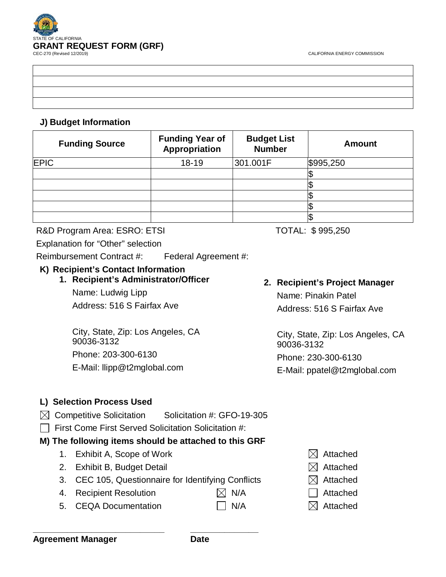

# **J) Budget Information**

| <b>Funding Source</b> | <b>Funding Year of</b><br>Appropriation | <b>Budget List</b><br><b>Number</b> | <b>Amount</b> |
|-----------------------|-----------------------------------------|-------------------------------------|---------------|
| <b>EPIC</b>           | $18 - 19$                               | 301.001F                            | \$995,250     |
|                       |                                         |                                     | ۱J            |
|                       |                                         |                                     |               |
|                       |                                         |                                     |               |
|                       |                                         |                                     |               |
|                       |                                         |                                     | \$            |

# R&D Program Area: ESRO: ETSI TOTAL: \$995,250

Explanation for "Other" selection

Reimbursement Contract #: Federal Agreement #:

# **K) Recipient's Contact Information**

**1. Recipient's Administrator/Officer**

Name: Ludwig Lipp Address: 516 S Fairfax Ave

City, State, Zip: Los Angeles, CA 90036-3132 Phone: 203-300-6130 E-Mail: llipp@t2mglobal.com

# **2. Recipient's Project Manager**

Name: Pinakin Patel Address: 516 S Fairfax Ave

City, State, Zip: Los Angeles, CA 90036-3132 Phone: 230-300-6130 E-Mail: ppatel@t2mglobal.com

# **L) Selection Process Used**

- $\boxtimes$  Competitive Solicitation Solicitation #: GFO-19-305
- First Come First Served Solicitation Solicitation #:

# **M) The following items should be attached to this GRF**

- 1. Exhibit A, Scope of Work  $\boxtimes$  Attached
- 2. Exhibit B, Budget Detail  $\boxtimes$  Attached
- 3. CEC 105, Questionnaire for Identifying Conflicts  $\boxtimes$  Attached
- 4. Recipient Resolution  $\boxtimes$  N/A  $\Box$  Attached
- 5. CEQA Documentation  $\Box$  N/A  $\boxtimes$  Attached
- 
- 
- 
- 
-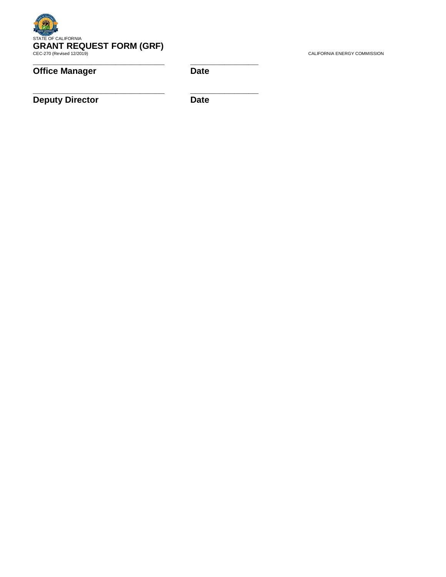

# **Office Manager Date**

**Deputy Director** Date

**\_\_\_\_\_\_\_\_\_\_\_\_\_\_\_\_\_\_\_\_\_\_\_\_\_\_\_ \_\_\_\_\_\_\_\_\_\_\_\_\_\_**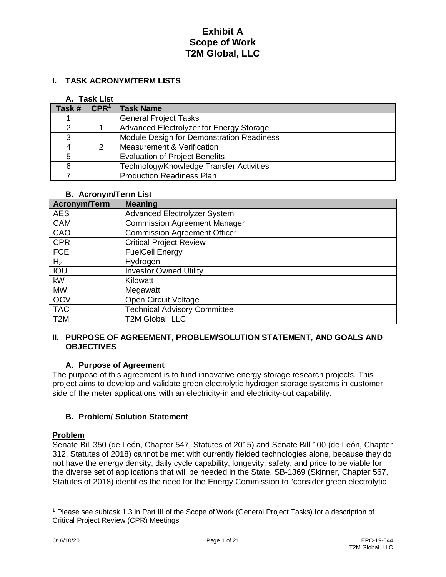### **I. TASK ACRONYM/TERM LISTS**

#### **A. Task List**

| Task # |   | $\mathsf{CPR}^1$   Task Name              |
|--------|---|-------------------------------------------|
|        |   | <b>General Project Tasks</b>              |
|        |   | Advanced Electrolyzer for Energy Storage  |
| 3      |   | Module Design for Demonstration Readiness |
|        | 2 | <b>Measurement &amp; Verification</b>     |
| 5      |   | <b>Evaluation of Project Benefits</b>     |
| 6      |   | Technology/Knowledge Transfer Activities  |
|        |   | <b>Production Readiness Plan</b>          |

#### **B. Acronym/Term List**

| Acronym/Term     | <b>Meaning</b>                      |
|------------------|-------------------------------------|
| <b>AES</b>       | <b>Advanced Electrolyzer System</b> |
| <b>CAM</b>       | <b>Commission Agreement Manager</b> |
| CAO              | <b>Commission Agreement Officer</b> |
| <b>CPR</b>       | <b>Critical Project Review</b>      |
| <b>FCE</b>       | <b>FuelCell Energy</b>              |
| H <sub>2</sub>   | Hydrogen                            |
| <b>IOU</b>       | <b>Investor Owned Utility</b>       |
| kW               | Kilowatt                            |
| <b>MW</b>        | Megawatt                            |
| <b>OCV</b>       | Open Circuit Voltage                |
| <b>TAC</b>       | <b>Technical Advisory Committee</b> |
| T <sub>2</sub> M | <b>T2M Global, LLC</b>              |

#### **II. PURPOSE OF AGREEMENT, PROBLEM/SOLUTION STATEMENT, AND GOALS AND OBJECTIVES**

#### **A. Purpose of Agreement**

The purpose of this agreement is to fund innovative energy storage research projects. This project aims to develop and validate green electrolytic hydrogen storage systems in customer side of the meter applications with an electricity-in and electricity-out capability.

### **B. Problem/ Solution Statement**

#### **Problem**

Senate Bill 350 (de León, Chapter 547, Statutes of 2015) and Senate Bill 100 (de León, Chapter 312, Statutes of 2018) cannot be met with currently fielded technologies alone, because they do not have the energy density, daily cycle capability, longevity, safety, and price to be viable for the diverse set of applications that will be needed in the State. SB-1369 (Skinner, Chapter 567, Statutes of 2018) identifies the need for the Energy Commission to "consider green electrolytic

 $\overline{a}$ 

<sup>1</sup> Please see subtask 1.3 in Part III of the Scope of Work (General Project Tasks) for a description of Critical Project Review (CPR) Meetings.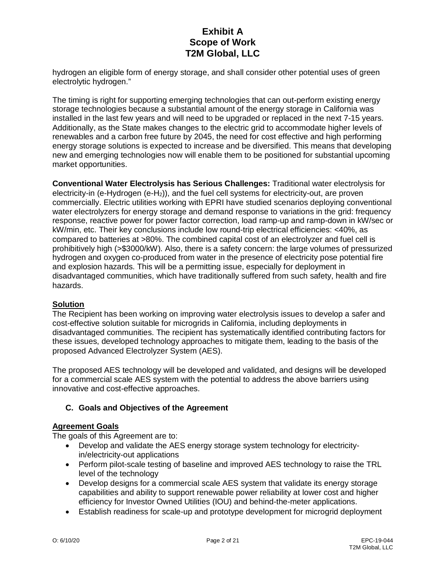hydrogen an eligible form of energy storage, and shall consider other potential uses of green electrolytic hydrogen."

The timing is right for supporting emerging technologies that can out-perform existing energy storage technologies because a substantial amount of the energy storage in California was installed in the last few years and will need to be upgraded or replaced in the next 7-15 years. Additionally, as the State makes changes to the electric grid to accommodate higher levels of renewables and a carbon free future by 2045, the need for cost effective and high performing energy storage solutions is expected to increase and be diversified. This means that developing new and emerging technologies now will enable them to be positioned for substantial upcoming market opportunities.

**Conventional Water Electrolysis has Serious Challenges:** Traditional water electrolysis for electricity-in (e-Hydrogen (e-H2)), and the fuel cell systems for electricity-out, are proven commercially. Electric utilities working with EPRI have studied scenarios deploying conventional water electrolyzers for energy storage and demand response to variations in the grid: frequency response, reactive power for power factor correction, load ramp-up and ramp-down in kW/sec or kW/min, etc. Their key conclusions include low round-trip electrical efficiencies: <40%, as compared to batteries at >80%. The combined capital cost of an electrolyzer and fuel cell is prohibitively high (>\$3000/kW). Also, there is a safety concern: the large volumes of pressurized hydrogen and oxygen co-produced from water in the presence of electricity pose potential fire and explosion hazards. This will be a permitting issue, especially for deployment in disadvantaged communities, which have traditionally suffered from such safety, health and fire hazards.

# **Solution**

The Recipient has been working on improving water electrolysis issues to develop a safer and cost-effective solution suitable for microgrids in California, including deployments in disadvantaged communities. The recipient has systematically identified contributing factors for these issues, developed technology approaches to mitigate them, leading to the basis of the proposed Advanced Electrolyzer System (AES).

The proposed AES technology will be developed and validated, and designs will be developed for a commercial scale AES system with the potential to address the above barriers using innovative and cost-effective approaches.

### **C. Goals and Objectives of the Agreement**

#### **Agreement Goals**

The goals of this Agreement are to:

- Develop and validate the AES energy storage system technology for electricityin/electricity-out applications
- Perform pilot-scale testing of baseline and improved AES technology to raise the TRL level of the technology
- Develop designs for a commercial scale AES system that validate its energy storage capabilities and ability to support renewable power reliability at lower cost and higher efficiency for Investor Owned Utilities (IOU) and behind-the-meter applications.
- Establish readiness for scale-up and prototype development for microgrid deployment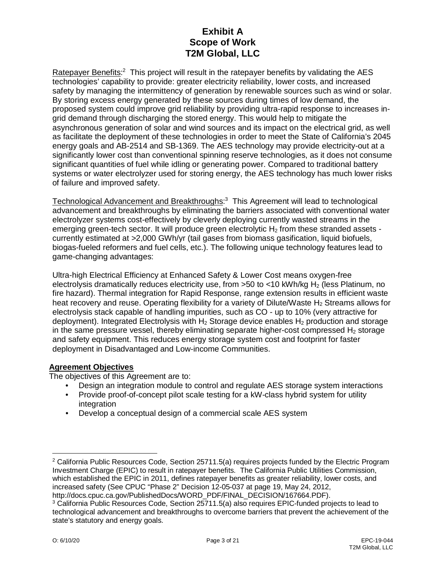Ratepayer Benefits:<sup>2</sup> This project will result in the ratepayer benefits by validating the AES technologies' capability to provide: greater electricity reliability, lower costs, and increased safety by managing the intermittency of generation by renewable sources such as wind or solar. By storing excess energy generated by these sources during times of low demand, the proposed system could improve grid reliability by providing ultra-rapid response to increases ingrid demand through discharging the stored energy. This would help to mitigate the asynchronous generation of solar and wind sources and its impact on the electrical grid, as well as facilitate the deployment of these technologies in order to meet the State of California's 2045 energy goals and AB-2514 and SB-1369. The AES technology may provide electricity-out at a significantly lower cost than conventional spinning reserve technologies, as it does not consume significant quantities of fuel while idling or generating power. Compared to traditional battery systems or water electrolyzer used for storing energy, the AES technology has much lower risks of failure and improved safety.

Technological Advancement and Breakthroughs:<sup>3</sup> This Agreement will lead to technological advancement and breakthroughs by eliminating the barriers associated with conventional water electrolyzer systems cost-effectively by cleverly deploying currently wasted streams in the emerging green-tech sector. It will produce green electrolytic  $H_2$  from these stranded assets currently estimated at >2,000 GWh/yr (tail gases from biomass gasification, liquid biofuels, biogas-fueled reformers and fuel cells, etc.). The following unique technology features lead to game-changing advantages:

Ultra-high Electrical Efficiency at Enhanced Safety & Lower Cost means oxygen-free electrolysis dramatically reduces electricity use, from >50 to <10 kWh/kg H2 (less Platinum, no fire hazard). Thermal integration for Rapid Response, range extension results in efficient waste heat recovery and reuse. Operating flexibility for a variety of Dilute/Waste  $H_2$  Streams allows for electrolysis stack capable of handling impurities, such as CO - up to 10% (very attractive for deployment). Integrated Electrolysis with H<sub>2</sub> Storage device enables H<sub>2</sub> production and storage in the same pressure vessel, thereby eliminating separate higher-cost compressed  $H_2$  storage and safety equipment. This reduces energy storage system cost and footprint for faster deployment in Disadvantaged and Low-income Communities.

### **Agreement Objectives**

The objectives of this Agreement are to:

- Design an integration module to control and regulate AES storage system interactions
- Provide proof-of-concept pilot scale testing for a kW-class hybrid system for utility integration
- Develop a conceptual design of a commercial scale AES system

http://docs.cpuc.ca.gov/PublishedDocs/WORD\_PDF/FINAL\_DECISION/167664.PDF).

 $\overline{a}$ 

 $2$  California Public Resources Code, Section 25711.5(a) requires projects funded by the Electric Program Investment Charge (EPIC) to result in ratepayer benefits. The California Public Utilities Commission, which established the EPIC in 2011, defines ratepayer benefits as greater reliability, lower costs, and increased safety (See CPUC "Phase 2" Decision 12-05-037 at page 19, May 24, 2012,

<sup>&</sup>lt;sup>3</sup> California Public Resources Code, Section 25711.5(a) also requires EPIC-funded projects to lead to technological advancement and breakthroughs to overcome barriers that prevent the achievement of the state's statutory and energy goals.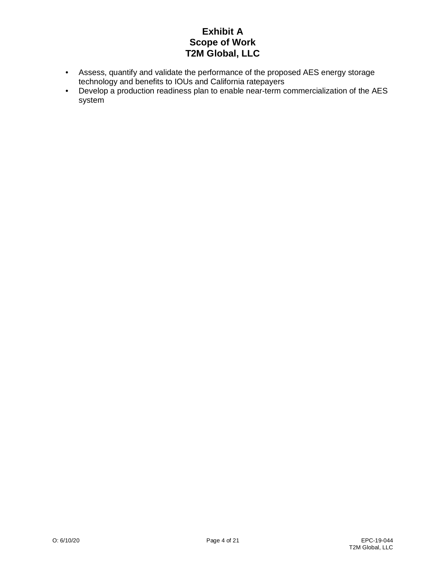- Assess, quantify and validate the performance of the proposed AES energy storage technology and benefits to IOUs and California ratepayers
- Develop a production readiness plan to enable near-term commercialization of the AES system<sup>.</sup>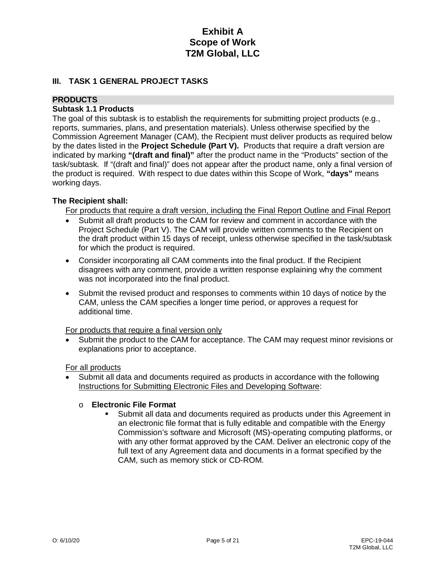### **III. TASK 1 GENERAL PROJECT TASKS**

### **PRODUCTS**

### **Subtask 1.1 Products**

The goal of this subtask is to establish the requirements for submitting project products (e.g., reports, summaries, plans, and presentation materials). Unless otherwise specified by the Commission Agreement Manager (CAM), the Recipient must deliver products as required below by the dates listed in the **Project Schedule (Part V).** Products that require a draft version are indicated by marking **"(draft and final)"** after the product name in the "Products" section of the task/subtask. If "(draft and final)" does not appear after the product name, only a final version of the product is required. With respect to due dates within this Scope of Work, **"days"** means working days.

### **The Recipient shall:**

For products that require a draft version, including the Final Report Outline and Final Report

- Submit all draft products to the CAM for review and comment in accordance with the Project Schedule (Part V). The CAM will provide written comments to the Recipient on the draft product within 15 days of receipt, unless otherwise specified in the task/subtask for which the product is required.
- Consider incorporating all CAM comments into the final product. If the Recipient disagrees with any comment, provide a written response explaining why the comment was not incorporated into the final product.
- Submit the revised product and responses to comments within 10 days of notice by the CAM, unless the CAM specifies a longer time period, or approves a request for additional time.

For products that require a final version only

• Submit the product to the CAM for acceptance. The CAM may request minor revisions or explanations prior to acceptance.

For all products

• Submit all data and documents required as products in accordance with the following Instructions for Submitting Electronic Files and Developing Software:

# o **Electronic File Format**

 Submit all data and documents required as products under this Agreement in an electronic file format that is fully editable and compatible with the Energy Commission's software and Microsoft (MS)-operating computing platforms, or with any other format approved by the CAM. Deliver an electronic copy of the full text of any Agreement data and documents in a format specified by the CAM, such as memory stick or CD-ROM.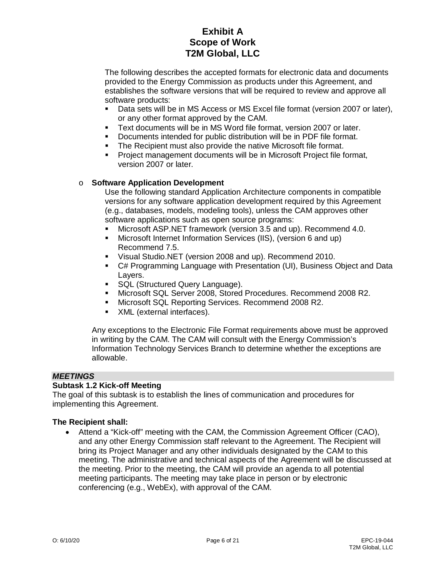The following describes the accepted formats for electronic data and documents provided to the Energy Commission as products under this Agreement, and establishes the software versions that will be required to review and approve all software products:

- Data sets will be in MS Access or MS Excel file format (version 2007 or later), or any other format approved by the CAM.
- Text documents will be in MS Word file format, version 2007 or later.
- Documents intended for public distribution will be in PDF file format.
- **The Recipient must also provide the native Microsoft file format.**
- Project management documents will be in Microsoft Project file format, version 2007 or later.

### o **Software Application Development**

Use the following standard Application Architecture components in compatible versions for any software application development required by this Agreement (e.g., databases, models, modeling tools), unless the CAM approves other software applications such as open source programs:

- Microsoft ASP.NET framework (version 3.5 and up). Recommend 4.0.
- Microsoft Internet Information Services (IIS), (version 6 and up) Recommend 7.5.
- Visual Studio.NET (version 2008 and up). Recommend 2010.
- C# Programming Language with Presentation (UI), Business Object and Data Layers.
- **SQL (Structured Query Language).**
- Microsoft SQL Server 2008, Stored Procedures. Recommend 2008 R2.
- **Microsoft SQL Reporting Services. Recommend 2008 R2.**
- XML (external interfaces).

Any exceptions to the Electronic File Format requirements above must be approved in writing by the CAM. The CAM will consult with the Energy Commission's Information Technology Services Branch to determine whether the exceptions are allowable.

#### *MEETINGS*

#### **Subtask 1.2 Kick-off Meeting**

The goal of this subtask is to establish the lines of communication and procedures for implementing this Agreement.

#### **The Recipient shall:**

• Attend a "Kick-off" meeting with the CAM, the Commission Agreement Officer (CAO), and any other Energy Commission staff relevant to the Agreement. The Recipient will bring its Project Manager and any other individuals designated by the CAM to this meeting. The administrative and technical aspects of the Agreement will be discussed at the meeting. Prior to the meeting, the CAM will provide an agenda to all potential meeting participants. The meeting may take place in person or by electronic conferencing (e.g., WebEx), with approval of the CAM.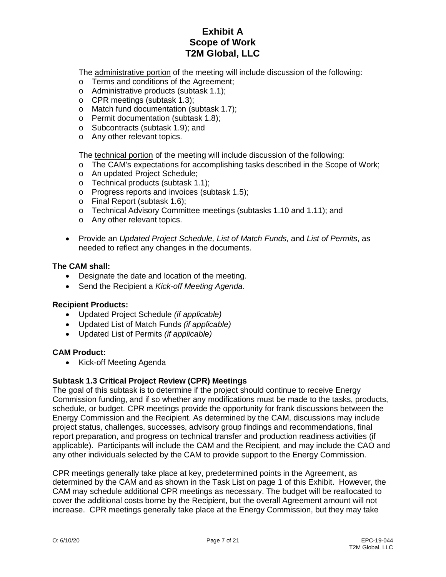The administrative portion of the meeting will include discussion of the following:

- o Terms and conditions of the Agreement;
- o Administrative products (subtask 1.1);
- o CPR meetings (subtask 1.3);
- o Match fund documentation (subtask 1.7);
- o Permit documentation (subtask 1.8);
- o Subcontracts (subtask 1.9); and
- o Any other relevant topics.

The technical portion of the meeting will include discussion of the following:

- o The CAM's expectations for accomplishing tasks described in the Scope of Work;
- o An updated Project Schedule;
- o Technical products (subtask 1.1);
- o Progress reports and invoices (subtask 1.5);
- o Final Report (subtask 1.6);
- o Technical Advisory Committee meetings (subtasks 1.10 and 1.11); and
- o Any other relevant topics.
- Provide an *Updated Project Schedule, List of Match Funds,* and *List of Permits*, as needed to reflect any changes in the documents.

#### **The CAM shall:**

- Designate the date and location of the meeting.
- Send the Recipient a *Kick-off Meeting Agenda*.

#### **Recipient Products:**

- Updated Project Schedule *(if applicable)*
- Updated List of Match Funds *(if applicable)*
- Updated List of Permits *(if applicable)*

#### **CAM Product:**

• Kick-off Meeting Agenda

### **Subtask 1.3 Critical Project Review (CPR) Meetings**

The goal of this subtask is to determine if the project should continue to receive Energy Commission funding, and if so whether any modifications must be made to the tasks, products, schedule, or budget. CPR meetings provide the opportunity for frank discussions between the Energy Commission and the Recipient. As determined by the CAM, discussions may include project status, challenges, successes, advisory group findings and recommendations, final report preparation, and progress on technical transfer and production readiness activities (if applicable). Participants will include the CAM and the Recipient, and may include the CAO and any other individuals selected by the CAM to provide support to the Energy Commission.

CPR meetings generally take place at key, predetermined points in the Agreement, as determined by the CAM and as shown in the Task List on page 1 of this Exhibit. However, the CAM may schedule additional CPR meetings as necessary. The budget will be reallocated to cover the additional costs borne by the Recipient, but the overall Agreement amount will not increase. CPR meetings generally take place at the Energy Commission, but they may take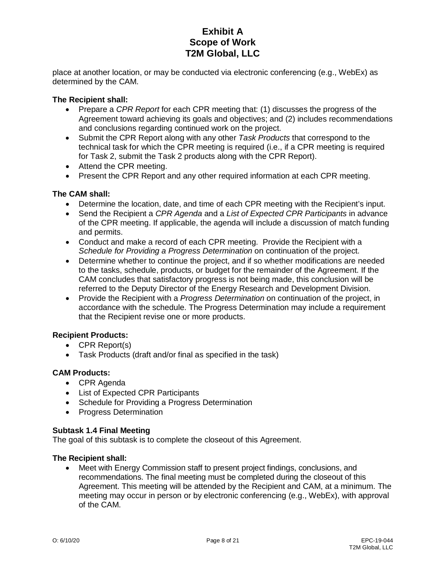place at another location, or may be conducted via electronic conferencing (e.g., WebEx) as determined by the CAM.

#### **The Recipient shall:**

- Prepare a *CPR Report* for each CPR meeting that: (1) discusses the progress of the Agreement toward achieving its goals and objectives; and (2) includes recommendations and conclusions regarding continued work on the project.
- Submit the CPR Report along with any other *Task Products* that correspond to the technical task for which the CPR meeting is required (i.e., if a CPR meeting is required for Task 2, submit the Task 2 products along with the CPR Report).
- Attend the CPR meeting.
- Present the CPR Report and any other required information at each CPR meeting.

#### **The CAM shall:**

- Determine the location, date, and time of each CPR meeting with the Recipient's input.
- Send the Recipient a *CPR Agenda* and a *List of Expected CPR Participants* in advance of the CPR meeting. If applicable, the agenda will include a discussion of match funding and permits.
- Conduct and make a record of each CPR meeting. Provide the Recipient with a *Schedule for Providing a Progress Determination* on continuation of the project.
- Determine whether to continue the project, and if so whether modifications are needed to the tasks, schedule, products, or budget for the remainder of the Agreement. If the CAM concludes that satisfactory progress is not being made, this conclusion will be referred to the Deputy Director of the Energy Research and Development Division.
- Provide the Recipient with a *Progress Determination* on continuation of the project, in accordance with the schedule. The Progress Determination may include a requirement that the Recipient revise one or more products.

### **Recipient Products:**

- CPR Report(s)
- Task Products (draft and/or final as specified in the task)

### **CAM Products:**

- CPR Agenda
- List of Expected CPR Participants
- Schedule for Providing a Progress Determination
- Progress Determination

#### **Subtask 1.4 Final Meeting**

The goal of this subtask is to complete the closeout of this Agreement.

#### **The Recipient shall:**

• Meet with Energy Commission staff to present project findings, conclusions, and recommendations. The final meeting must be completed during the closeout of this Agreement. This meeting will be attended by the Recipient and CAM, at a minimum. The meeting may occur in person or by electronic conferencing (e.g., WebEx), with approval of the CAM.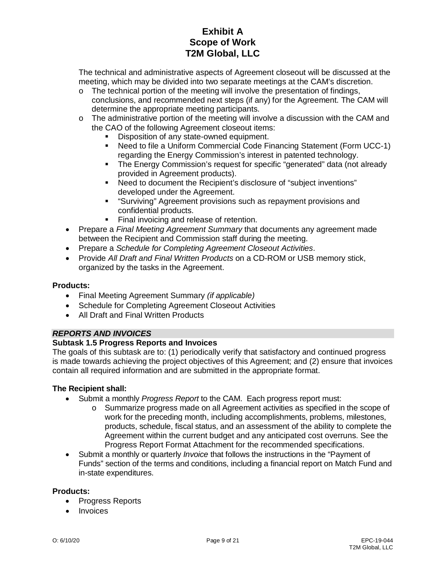The technical and administrative aspects of Agreement closeout will be discussed at the meeting, which may be divided into two separate meetings at the CAM's discretion.

- $\circ$  The technical portion of the meeting will involve the presentation of findings, conclusions, and recommended next steps (if any) for the Agreement. The CAM will determine the appropriate meeting participants.
- $\circ$  The administrative portion of the meeting will involve a discussion with the CAM and the CAO of the following Agreement closeout items:
	- Disposition of any state-owned equipment.
	- Need to file a Uniform Commercial Code Financing Statement (Form UCC-1) regarding the Energy Commission's interest in patented technology.
	- The Energy Commission's request for specific "generated" data (not already provided in Agreement products).
	- Need to document the Recipient's disclosure of "subject inventions" developed under the Agreement.
	- "Surviving" Agreement provisions such as repayment provisions and confidential products.
	- **Final invoicing and release of retention.**
- Prepare a *Final Meeting Agreement Summary* that documents any agreement made between the Recipient and Commission staff during the meeting.
- Prepare a *Schedule for Completing Agreement Closeout Activities*.
- Provide *All Draft and Final Written Products* on a CD-ROM or USB memory stick, organized by the tasks in the Agreement.

### **Products:**

- Final Meeting Agreement Summary *(if applicable)*
- Schedule for Completing Agreement Closeout Activities
- All Draft and Final Written Products

# *REPORTS AND INVOICES*

### **Subtask 1.5 Progress Reports and Invoices**

The goals of this subtask are to: (1) periodically verify that satisfactory and continued progress is made towards achieving the project objectives of this Agreement; and (2) ensure that invoices contain all required information and are submitted in the appropriate format.

### **The Recipient shall:**

- Submit a monthly *Progress Report* to the CAM. Each progress report must:
	- o Summarize progress made on all Agreement activities as specified in the scope of work for the preceding month, including accomplishments, problems, milestones, products, schedule, fiscal status, and an assessment of the ability to complete the Agreement within the current budget and any anticipated cost overruns. See the Progress Report Format Attachment for the recommended specifications.
- Submit a monthly or quarterly *Invoice* that follows the instructions in the "Payment of Funds" section of the terms and conditions, including a financial report on Match Fund and in-state expenditures.

### **Products:**

- Progress Reports
- Invoices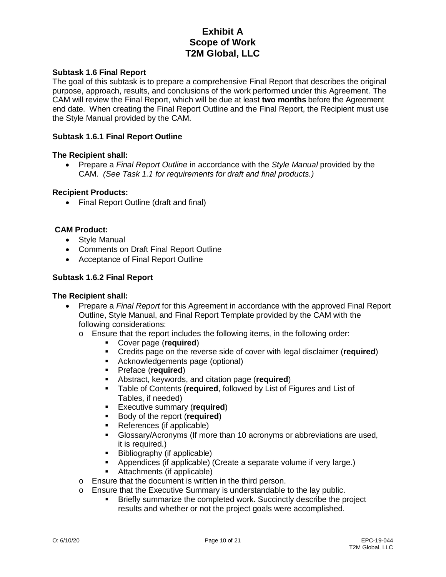#### **Subtask 1.6 Final Report**

The goal of this subtask is to prepare a comprehensive Final Report that describes the original purpose, approach, results, and conclusions of the work performed under this Agreement. The CAM will review the Final Report, which will be due at least **two months** before the Agreement end date. When creating the Final Report Outline and the Final Report, the Recipient must use the Style Manual provided by the CAM.

#### **Subtask 1.6.1 Final Report Outline**

#### **The Recipient shall:**

• Prepare a *Final Report Outline* in accordance with the *Style Manual* provided by the CAM. *(See Task 1.1 for requirements for draft and final products.)*

#### **Recipient Products:**

• Final Report Outline (draft and final)

#### **CAM Product:**

- Style Manual
- Comments on Draft Final Report Outline
- Acceptance of Final Report Outline

#### **Subtask 1.6.2 Final Report**

#### **The Recipient shall:**

- Prepare a *Final Report* for this Agreement in accordance with the approved Final Report Outline, Style Manual, and Final Report Template provided by the CAM with the following considerations:
	- o Ensure that the report includes the following items, in the following order:
		- Cover page (**required**)
		- Credits page on the reverse side of cover with legal disclaimer (**required**)
		- Acknowledgements page (optional)
		- Preface (**required**)
		- **Abstract, keywords, and citation page (required)**<br>**E** Table of Contents (required followed by List of F
		- Table of Contents (**required**, followed by List of Figures and List of Tables, if needed)
		- **Executive summary (required)**
		- **Body of the report (required)**
		- References (if applicable)
		- Glossary/Acronyms (If more than 10 acronyms or abbreviations are used, it is required.)
		- Bibliography (if applicable)
		- Appendices (if applicable) (Create a separate volume if very large.)
		- Attachments (if applicable)
	- o Ensure that the document is written in the third person.
	- o Ensure that the Executive Summary is understandable to the lay public.
		- Briefly summarize the completed work. Succinctly describe the project results and whether or not the project goals were accomplished.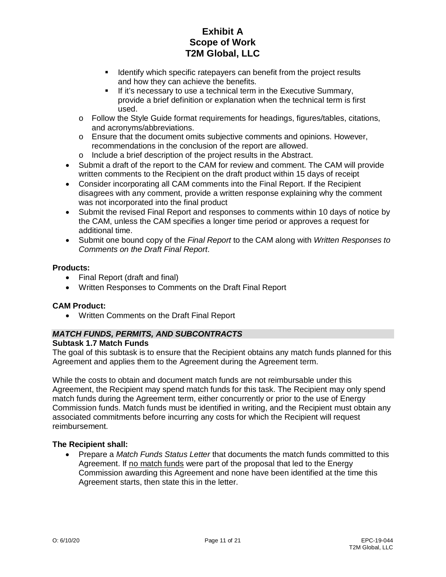- **If Identify which specific ratepayers can benefit from the project results** and how they can achieve the benefits.
- **If it's necessary to use a technical term in the Executive Summary,** provide a brief definition or explanation when the technical term is first used.
- $\circ$  Follow the Style Guide format requirements for headings, figures/tables, citations, and acronyms/abbreviations.
- o Ensure that the document omits subjective comments and opinions. However, recommendations in the conclusion of the report are allowed.
- o Include a brief description of the project results in the Abstract.
- Submit a draft of the report to the CAM for review and comment. The CAM will provide written comments to the Recipient on the draft product within 15 days of receipt
- Consider incorporating all CAM comments into the Final Report. If the Recipient disagrees with any comment, provide a written response explaining why the comment was not incorporated into the final product
- Submit the revised Final Report and responses to comments within 10 days of notice by the CAM, unless the CAM specifies a longer time period or approves a request for additional time.
- Submit one bound copy of the *Final Report* to the CAM along with *Written Responses to Comments on the Draft Final Report*.

#### **Products:**

- Final Report (draft and final)
- Written Responses to Comments on the Draft Final Report

### **CAM Product:**

• Written Comments on the Draft Final Report

# *MATCH FUNDS, PERMITS, AND SUBCONTRACTS*

#### **Subtask 1.7 Match Funds**

The goal of this subtask is to ensure that the Recipient obtains any match funds planned for this Agreement and applies them to the Agreement during the Agreement term.

While the costs to obtain and document match funds are not reimbursable under this Agreement, the Recipient may spend match funds for this task. The Recipient may only spend match funds during the Agreement term, either concurrently or prior to the use of Energy Commission funds. Match funds must be identified in writing, and the Recipient must obtain any associated commitments before incurring any costs for which the Recipient will request reimbursement.

#### **The Recipient shall:**

• Prepare a *Match Funds Status Letter* that documents the match funds committed to this Agreement. If no match funds were part of the proposal that led to the Energy Commission awarding this Agreement and none have been identified at the time this Agreement starts, then state this in the letter.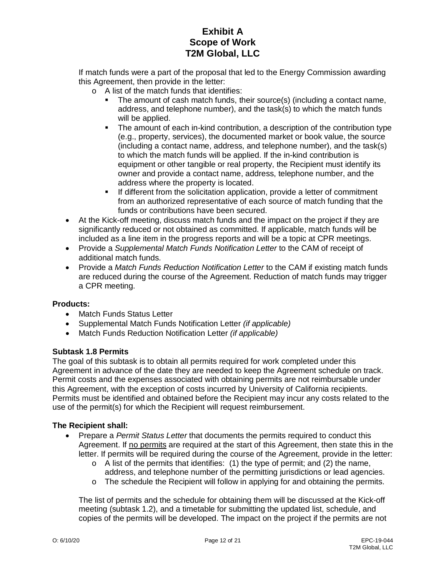If match funds were a part of the proposal that led to the Energy Commission awarding this Agreement, then provide in the letter:

- o A list of the match funds that identifies:
	- The amount of cash match funds, their source(s) (including a contact name, address, and telephone number), and the task(s) to which the match funds will be applied.
	- The amount of each in-kind contribution, a description of the contribution type (e.g., property, services), the documented market or book value, the source (including a contact name, address, and telephone number), and the task(s) to which the match funds will be applied. If the in-kind contribution is equipment or other tangible or real property, the Recipient must identify its owner and provide a contact name, address, telephone number, and the address where the property is located.
	- **If different from the solicitation application, provide a letter of commitment** from an authorized representative of each source of match funding that the funds or contributions have been secured.
- At the Kick-off meeting, discuss match funds and the impact on the project if they are significantly reduced or not obtained as committed. If applicable, match funds will be included as a line item in the progress reports and will be a topic at CPR meetings.
- Provide a *Supplemental Match Funds Notification Letter* to the CAM of receipt of additional match funds.
- Provide a *Match Funds Reduction Notification Letter* to the CAM if existing match funds are reduced during the course of the Agreement. Reduction of match funds may trigger a CPR meeting.

### **Products:**

- Match Funds Status Letter
- Supplemental Match Funds Notification Letter *(if applicable)*
- Match Funds Reduction Notification Letter *(if applicable)*

### **Subtask 1.8 Permits**

The goal of this subtask is to obtain all permits required for work completed under this Agreement in advance of the date they are needed to keep the Agreement schedule on track. Permit costs and the expenses associated with obtaining permits are not reimbursable under this Agreement, with the exception of costs incurred by University of California recipients. Permits must be identified and obtained before the Recipient may incur any costs related to the use of the permit(s) for which the Recipient will request reimbursement.

### **The Recipient shall:**

- Prepare a *Permit Status Letter* that documents the permits required to conduct this Agreement. If no permits are required at the start of this Agreement, then state this in the letter. If permits will be required during the course of the Agreement, provide in the letter:
	- $\circ$  A list of the permits that identifies: (1) the type of permit; and (2) the name, address, and telephone number of the permitting jurisdictions or lead agencies.
	- $\circ$  The schedule the Recipient will follow in applying for and obtaining the permits.

The list of permits and the schedule for obtaining them will be discussed at the Kick-off meeting (subtask 1.2), and a timetable for submitting the updated list, schedule, and copies of the permits will be developed. The impact on the project if the permits are not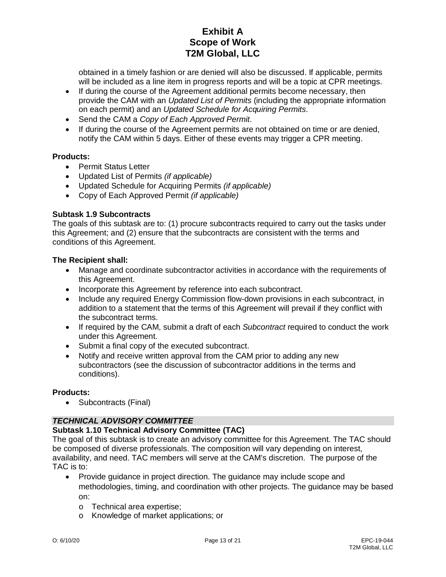obtained in a timely fashion or are denied will also be discussed. If applicable, permits will be included as a line item in progress reports and will be a topic at CPR meetings.

- If during the course of the Agreement additional permits become necessary, then provide the CAM with an *Updated List of Permits* (including the appropriate information on each permit) and an *Updated Schedule for Acquiring Permits*.
- Send the CAM a *Copy of Each Approved Permit*.
- If during the course of the Agreement permits are not obtained on time or are denied, notify the CAM within 5 days. Either of these events may trigger a CPR meeting.

#### **Products:**

- Permit Status Letter
- Updated List of Permits *(if applicable)*
- Updated Schedule for Acquiring Permits *(if applicable)*
- Copy of Each Approved Permit *(if applicable)*

#### **Subtask 1.9 Subcontracts**

The goals of this subtask are to: (1) procure subcontracts required to carry out the tasks under this Agreement; and (2) ensure that the subcontracts are consistent with the terms and conditions of this Agreement.

#### **The Recipient shall:**

- Manage and coordinate subcontractor activities in accordance with the requirements of this Agreement.
- Incorporate this Agreement by reference into each subcontract.
- Include any required Energy Commission flow-down provisions in each subcontract, in addition to a statement that the terms of this Agreement will prevail if they conflict with the subcontract terms.
- If required by the CAM, submit a draft of each *Subcontract* required to conduct the work under this Agreement.
- Submit a final copy of the executed subcontract.
- Notify and receive written approval from the CAM prior to adding any new subcontractors (see the discussion of subcontractor additions in the terms and conditions).

#### **Products:**

• Subcontracts (Final)

### *TECHNICAL ADVISORY COMMITTEE*

### **Subtask 1.10 Technical Advisory Committee (TAC)**

The goal of this subtask is to create an advisory committee for this Agreement. The TAC should be composed of diverse professionals. The composition will vary depending on interest, availability, and need. TAC members will serve at the CAM's discretion. The purpose of the TAC is to:

- Provide guidance in project direction. The guidance may include scope and methodologies, timing, and coordination with other projects. The guidance may be based on:
	- o Technical area expertise;
	- o Knowledge of market applications; or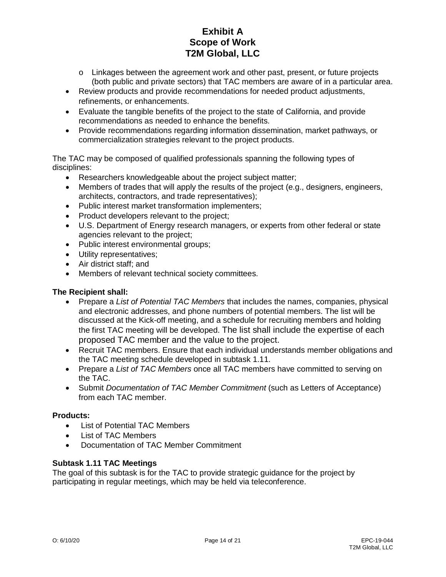- $\circ$  Linkages between the agreement work and other past, present, or future projects (both public and private sectors) that TAC members are aware of in a particular area.
- Review products and provide recommendations for needed product adjustments, refinements, or enhancements.
- Evaluate the tangible benefits of the project to the state of California, and provide recommendations as needed to enhance the benefits.
- Provide recommendations regarding information dissemination, market pathways, or commercialization strategies relevant to the project products.

The TAC may be composed of qualified professionals spanning the following types of disciplines:

- Researchers knowledgeable about the project subject matter;
- Members of trades that will apply the results of the project (e.g., designers, engineers, architects, contractors, and trade representatives);
- Public interest market transformation implementers;
- Product developers relevant to the project;
- U.S. Department of Energy research managers, or experts from other federal or state agencies relevant to the project;
- Public interest environmental groups;
- Utility representatives;
- Air district staff; and
- Members of relevant technical society committees.

### **The Recipient shall:**

- Prepare a *List of Potential TAC Members* that includes the names, companies, physical and electronic addresses, and phone numbers of potential members. The list will be discussed at the Kick-off meeting, and a schedule for recruiting members and holding the first TAC meeting will be developed. The list shall include the expertise of each proposed TAC member and the value to the project.
- Recruit TAC members. Ensure that each individual understands member obligations and the TAC meeting schedule developed in subtask 1.11.
- Prepare a *List of TAC Members* once all TAC members have committed to serving on the TAC.
- Submit *Documentation of TAC Member Commitment* (such as Letters of Acceptance) from each TAC member.

### **Products:**

- List of Potential TAC Members
- List of TAC Members
- Documentation of TAC Member Commitment

### **Subtask 1.11 TAC Meetings**

The goal of this subtask is for the TAC to provide strategic guidance for the project by participating in regular meetings, which may be held via teleconference.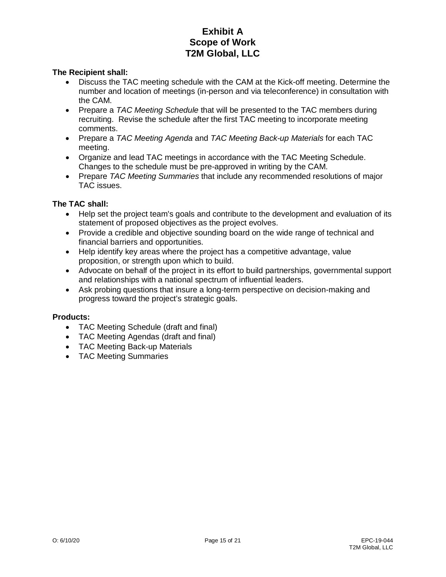#### **The Recipient shall:**

- Discuss the TAC meeting schedule with the CAM at the Kick-off meeting. Determine the number and location of meetings (in-person and via teleconference) in consultation with the CAM.
- Prepare a *TAC Meeting Schedule* that will be presented to the TAC members during recruiting. Revise the schedule after the first TAC meeting to incorporate meeting comments.
- Prepare a *TAC Meeting Agenda* and *TAC Meeting Back-up Materials* for each TAC meeting.
- Organize and lead TAC meetings in accordance with the TAC Meeting Schedule. Changes to the schedule must be pre-approved in writing by the CAM.
- Prepare *TAC Meeting Summaries* that include any recommended resolutions of major TAC issues.

#### **The TAC shall:**

- Help set the project team's goals and contribute to the development and evaluation of its statement of proposed objectives as the project evolves.
- Provide a credible and objective sounding board on the wide range of technical and financial barriers and opportunities.
- Help identify key areas where the project has a competitive advantage, value proposition, or strength upon which to build.
- Advocate on behalf of the project in its effort to build partnerships, governmental support and relationships with a national spectrum of influential leaders.
- Ask probing questions that insure a long-term perspective on decision-making and progress toward the project's strategic goals.

#### **Products:**

- TAC Meeting Schedule (draft and final)
- TAC Meeting Agendas (draft and final)
- TAC Meeting Back-up Materials
- TAC Meeting Summaries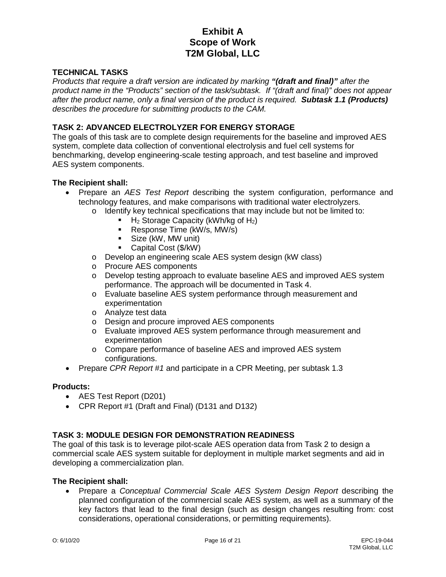#### **TECHNICAL TASKS**

*Products that require a draft version are indicated by marking "(draft and final)" after the product name in the "Products" section of the task/subtask. If "(draft and final)" does not appear after the product name, only a final version of the product is required. Subtask 1.1 (Products) describes the procedure for submitting products to the CAM.* 

#### **TASK 2: ADVANCED ELECTROLYZER FOR ENERGY STORAGE**

The goals of this task are to complete design requirements for the baseline and improved AES system, complete data collection of conventional electrolysis and fuel cell systems for benchmarking, develop engineering-scale testing approach, and test baseline and improved AES system components.

#### **The Recipient shall:**

- Prepare an *AES Test Report* describing the system configuration, performance and technology features, and make comparisons with traditional water electrolyzers.
	- $\circ$  Identify key technical specifications that may include but not be limited to:
		- H2 Storage Capacity (kWh/kg of H2)
		- Response Time (kW/s, MW/s)
		- **Size (kW, MW unit)**
		- Capital Cost (\$/kW)
	- o Develop an engineering scale AES system design (kW class)
	- o Procure AES components
	- o Develop testing approach to evaluate baseline AES and improved AES system performance. The approach will be documented in Task 4.
	- o Evaluate baseline AES system performance through measurement and experimentation
	- o Analyze test data
	- o Design and procure improved AES components
	- o Evaluate improved AES system performance through measurement and experimentation
	- o Compare performance of baseline AES and improved AES system configurations.
- Prepare *CPR Report #1* and participate in a CPR Meeting, per subtask 1.3

#### **Products:**

- AES Test Report (D201)
- CPR Report #1 (Draft and Final) (D131 and D132)

#### **TASK 3: MODULE DESIGN FOR DEMONSTRATION READINESS**

The goal of this task is to leverage pilot-scale AES operation data from Task 2 to design a commercial scale AES system suitable for deployment in multiple market segments and aid in developing a commercialization plan.

#### **The Recipient shall:**

• Prepare a *Conceptual Commercial Scale AES System Design Report* describing the planned configuration of the commercial scale AES system, as well as a summary of the key factors that lead to the final design (such as design changes resulting from: cost considerations, operational considerations, or permitting requirements).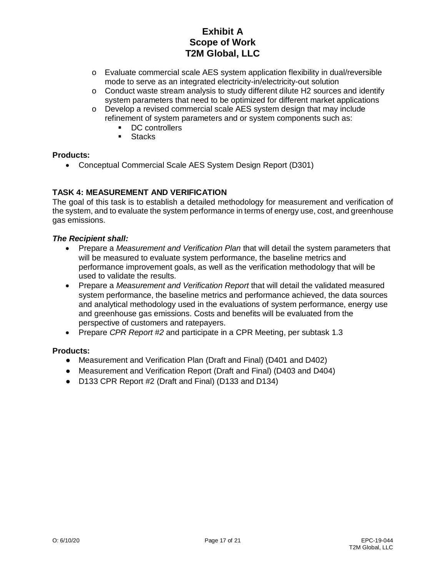- o Evaluate commercial scale AES system application flexibility in dual/reversible mode to serve as an integrated electricity-in/electricity-out solution
- $\circ$  Conduct waste stream analysis to study different dilute H2 sources and identify system parameters that need to be optimized for different market applications
- o Develop a revised commercial scale AES system design that may include refinement of system parameters and or system components such as:
	- DC controllers<br>Stacks
	- **Stacks**

### **Products:**

• Conceptual Commercial Scale AES System Design Report (D301)

# **TASK 4: MEASUREMENT AND VERIFICATION**

The goal of this task is to establish a detailed methodology for measurement and verification of the system, and to evaluate the system performance in terms of energy use, cost, and greenhouse gas emissions.

#### *The Recipient shall:*

- Prepare a *Measurement and Verification Plan* that will detail the system parameters that will be measured to evaluate system performance, the baseline metrics and performance improvement goals, as well as the verification methodology that will be used to validate the results.
- Prepare a *Measurement and Verification Report* that will detail the validated measured system performance, the baseline metrics and performance achieved, the data sources and analytical methodology used in the evaluations of system performance, energy use and greenhouse gas emissions. Costs and benefits will be evaluated from the perspective of customers and ratepayers.
- Prepare *CPR Report #2* and participate in a CPR Meeting, per subtask 1.3

### **Products:**

- Measurement and Verification Plan (Draft and Final) (D401 and D402)
- Measurement and Verification Report (Draft and Final) (D403 and D404)
- D133 CPR Report #2 (Draft and Final) (D133 and D134)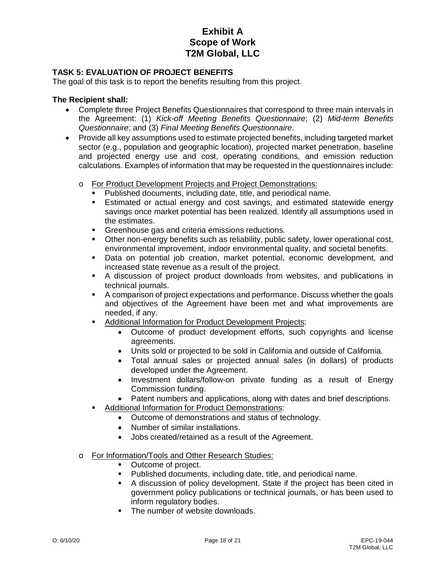### **TASK 5: EVALUATION OF PROJECT BENEFITS**

The goal of this task is to report the benefits resulting from this project.

#### **The Recipient shall:**

- Complete three Project Benefits Questionnaires that correspond to three main intervals in the Agreement: (1) *Kick-off Meeting Benefits Questionnaire*; (2) *Mid-term Benefits Questionnaire*; and (3) *Final Meeting Benefits Questionnaire*.
- Provide all key assumptions used to estimate projected benefits, including targeted market sector (e.g., population and geographic location), projected market penetration, baseline and projected energy use and cost, operating conditions, and emission reduction calculations. Examples of information that may be requested in the questionnaires include:
	- o For Product Development Projects and Project Demonstrations:
		- Published documents, including date, title, and periodical name.
		- Estimated or actual energy and cost savings, and estimated statewide energy savings once market potential has been realized. Identify all assumptions used in the estimates.
		- **Greenhouse gas and criteria emissions reductions.**
		- Other non-energy benefits such as reliability, public safety, lower operational cost, environmental improvement, indoor environmental quality, and societal benefits.
		- Data on potential job creation, market potential, economic development, and increased state revenue as a result of the project.
		- A discussion of project product downloads from websites, and publications in technical journals.
		- A comparison of project expectations and performance. Discuss whether the goals and objectives of the Agreement have been met and what improvements are needed, if any.
		- Additional Information for Product Development Projects:
			- Outcome of product development efforts, such copyrights and license agreements.
			- Units sold or projected to be sold in California and outside of California.
			- Total annual sales or projected annual sales (in dollars) of products developed under the Agreement.
			- Investment dollars/follow-on private funding as a result of Energy Commission funding.
			- Patent numbers and applications, along with dates and brief descriptions.
			- Additional Information for Product Demonstrations:
				- Outcome of demonstrations and status of technology.
				- Number of similar installations.
				- Jobs created/retained as a result of the Agreement.
	- o For Information/Tools and Other Research Studies:<br>Cutcome of project.
		- Outcome of project.
		- Published documents, including date, title, and periodical name.
		- A discussion of policy development. State if the project has been cited in government policy publications or technical journals, or has been used to inform regulatory bodies.
		- The number of website downloads.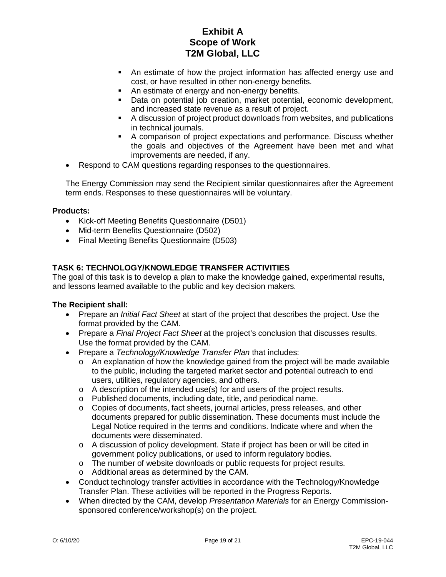- An estimate of how the project information has affected energy use and cost, or have resulted in other non-energy benefits.
- An estimate of energy and non-energy benefits.
- Data on potential job creation, market potential, economic development, and increased state revenue as a result of project.
- A discussion of project product downloads from websites, and publications in technical journals.
- A comparison of project expectations and performance. Discuss whether the goals and objectives of the Agreement have been met and what improvements are needed, if any.
- Respond to CAM questions regarding responses to the questionnaires.

The Energy Commission may send the Recipient similar questionnaires after the Agreement term ends. Responses to these questionnaires will be voluntary.

#### **Products:**

- Kick-off Meeting Benefits Questionnaire (D501)
- Mid-term Benefits Questionnaire (D502)
- Final Meeting Benefits Questionnaire (D503)

# **TASK 6: TECHNOLOGY/KNOWLEDGE TRANSFER ACTIVITIES**

The goal of this task is to develop a plan to make the knowledge gained, experimental results, and lessons learned available to the public and key decision makers.

### **The Recipient shall:**

- Prepare an *Initial Fact Sheet* at start of the project that describes the project. Use the format provided by the CAM.
- Prepare a *Final Project Fact Sheet* at the project's conclusion that discusses results. Use the format provided by the CAM.
- Prepare a *Technology/Knowledge Transfer Plan* that includes:
	- $\circ$  An explanation of how the knowledge gained from the project will be made available to the public, including the targeted market sector and potential outreach to end users, utilities, regulatory agencies, and others.
	- $\circ$  A description of the intended use(s) for and users of the project results.
	- o Published documents, including date, title, and periodical name.
	- o Copies of documents, fact sheets, journal articles, press releases, and other documents prepared for public dissemination. These documents must include the Legal Notice required in the terms and conditions. Indicate where and when the documents were disseminated.
	- o A discussion of policy development. State if project has been or will be cited in government policy publications, or used to inform regulatory bodies.
	- o The number of website downloads or public requests for project results.<br>
	o Additional areas as determined by the CAM.
	- Additional areas as determined by the CAM.
- Conduct technology transfer activities in accordance with the Technology/Knowledge Transfer Plan. These activities will be reported in the Progress Reports.
- When directed by the CAM, develop *Presentation Materials* for an Energy Commissionsponsored conference/workshop(s) on the project.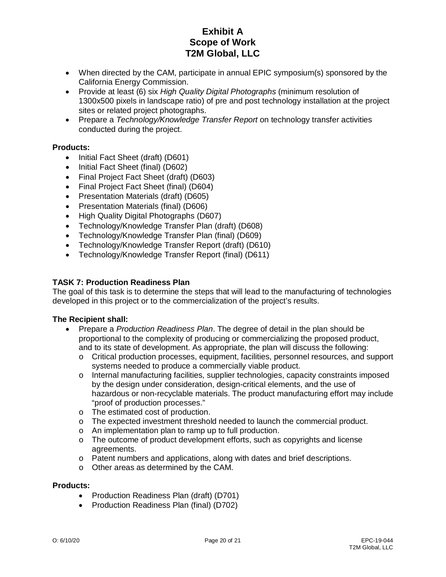- When directed by the CAM, participate in annual EPIC symposium(s) sponsored by the California Energy Commission.
- Provide at least (6) six *High Quality Digital Photographs* (minimum resolution of 1300x500 pixels in landscape ratio) of pre and post technology installation at the project sites or related project photographs.
- Prepare a *Technology/Knowledge Transfer Report* on technology transfer activities conducted during the project.

#### **Products:**

- Initial Fact Sheet (draft) (D601)
- Initial Fact Sheet (final) (D602)
- Final Project Fact Sheet (draft) (D603)
- Final Project Fact Sheet (final) (D604)
- Presentation Materials (draft) (D605)
- Presentation Materials (final) (D606)
- High Quality Digital Photographs (D607)
- Technology/Knowledge Transfer Plan (draft) (D608)
- Technology/Knowledge Transfer Plan (final) (D609)
- Technology/Knowledge Transfer Report (draft) (D610)
- Technology/Knowledge Transfer Report (final) (D611)

#### **TASK 7: Production Readiness Plan**

The goal of this task is to determine the steps that will lead to the manufacturing of technologies developed in this project or to the commercialization of the project's results.

#### **The Recipient shall:**

- Prepare a *Production Readiness Plan*. The degree of detail in the plan should be proportional to the complexity of producing or commercializing the proposed product, and to its state of development. As appropriate, the plan will discuss the following:
	- o Critical production processes, equipment, facilities, personnel resources, and support systems needed to produce a commercially viable product.
	- o Internal manufacturing facilities, supplier technologies, capacity constraints imposed by the design under consideration, design-critical elements, and the use of hazardous or non-recyclable materials. The product manufacturing effort may include "proof of production processes."
	- o The estimated cost of production.
	- o The expected investment threshold needed to launch the commercial product.
	- o An implementation plan to ramp up to full production.
	- $\circ$  The outcome of product development efforts, such as copyrights and license agreements.
	- o Patent numbers and applications, along with dates and brief descriptions.
	- o Other areas as determined by the CAM.

#### **Products:**

- Production Readiness Plan (draft) (D701)
- Production Readiness Plan (final) (D702)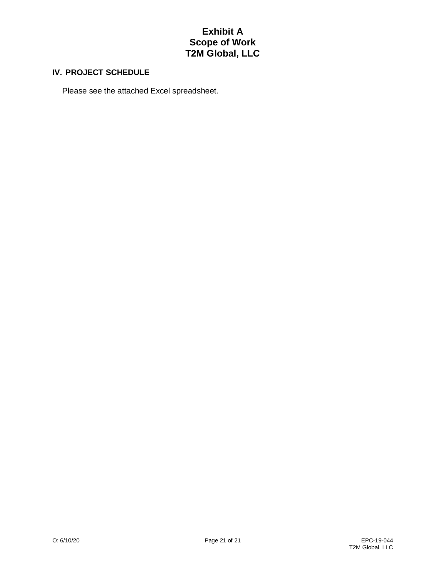#### **IV. PROJECT SCHEDULE**

Please see the attached Excel spreadsheet.